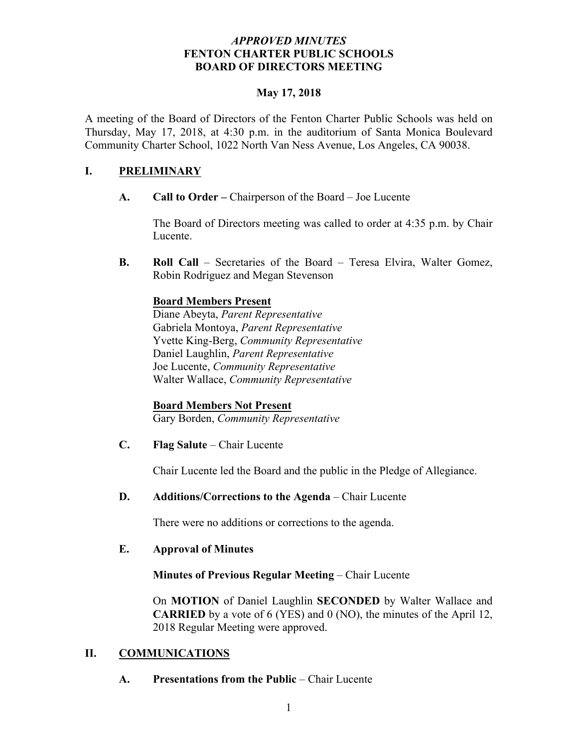### *APPROVED MINUTES*  **FENTON CHARTER PUBLIC SCHOOLS BOARD OF DIRECTORS MEETING**

### **May 17, 2018**

A meeting of the Board of Directors of the Fenton Charter Public Schools was held on Thursday, May 17, 2018, at 4:30 p.m. in the auditorium of Santa Monica Boulevard Community Charter School, 1022 North Van Ness Avenue, Los Angeles, CA 90038.

## **I. PRELIMINARY**

**A. Call to Order –** Chairperson of the Board – Joe Lucente

The Board of Directors meeting was called to order at 4:35 p.m. by Chair Lucente.

**B. Roll Call** – Secretaries of the Board – Teresa Elvira, Walter Gomez, Robin Rodriguez and Megan Stevenson

## **Board Members Present**

Diane Abeyta, *Parent Representative* Gabriela Montoya, *Parent Representative* Yvette King-Berg, *Community Representative* Daniel Laughlin, *Parent Representative* Joe Lucente, *Community Representative* Walter Wallace, *Community Representative*

## **Board Members Not Present**

Gary Borden, *Community Representative*

**C. Flag Salute** – Chair Lucente

Chair Lucente led the Board and the public in the Pledge of Allegiance.

## **D. Additions/Corrections to the Agenda** – Chair Lucente

There were no additions or corrections to the agenda.

## **E. Approval of Minutes**

## **Minutes of Previous Regular Meeting** – Chair Lucente

On **MOTION** of Daniel Laughlin **SECONDED** by Walter Wallace and **CARRIED** by a vote of 6 (YES) and 0 (NO), the minutes of the April 12, 2018 Regular Meeting were approved.

## **II. COMMUNICATIONS**

**A. Presentations from the Public** – Chair Lucente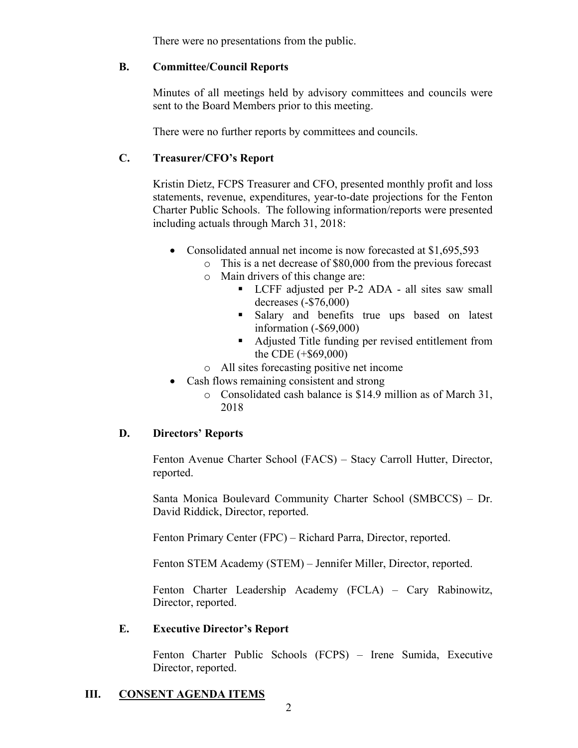There were no presentations from the public.

### **B. Committee/Council Reports**

Minutes of all meetings held by advisory committees and councils were sent to the Board Members prior to this meeting.

There were no further reports by committees and councils.

# **C. Treasurer/CFO's Report**

Kristin Dietz, FCPS Treasurer and CFO, presented monthly profit and loss statements, revenue, expenditures, year-to-date projections for the Fenton Charter Public Schools. The following information/reports were presented including actuals through March 31, 2018:

- Consolidated annual net income is now forecasted at \$1,695,593
	- o This is a net decrease of \$80,000 from the previous forecast
	- o Main drivers of this change are:
		- LCFF adjusted per P-2 ADA all sites saw small decreases (-\$76,000)
		- § Salary and benefits true ups based on latest information (-\$69,000)
		- Adjusted Title funding per revised entitlement from the CDE (+\$69,000)
	- o All sites forecasting positive net income
- Cash flows remaining consistent and strong
	- o Consolidated cash balance is \$14.9 million as of March 31, 2018

## **D. Directors' Reports**

Fenton Avenue Charter School (FACS) – Stacy Carroll Hutter, Director, reported.

Santa Monica Boulevard Community Charter School (SMBCCS) – Dr. David Riddick, Director, reported.

Fenton Primary Center (FPC) – Richard Parra, Director, reported.

Fenton STEM Academy (STEM) – Jennifer Miller, Director, reported.

Fenton Charter Leadership Academy (FCLA) – Cary Rabinowitz, Director, reported.

## **E. Executive Director's Report**

Fenton Charter Public Schools (FCPS) – Irene Sumida, Executive Director, reported.

# **III. CONSENT AGENDA ITEMS**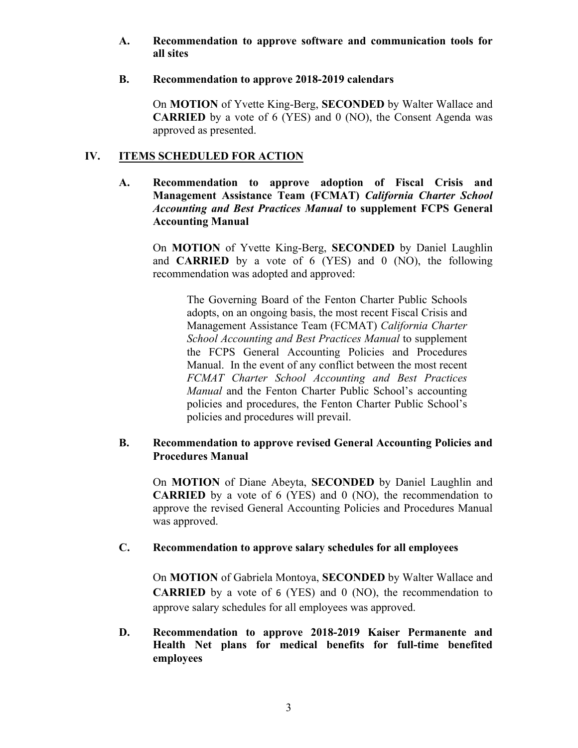#### **A. Recommendation to approve software and communication tools for all sites**

#### **B. Recommendation to approve 2018-2019 calendars**

On **MOTION** of Yvette King-Berg, **SECONDED** by Walter Wallace and **CARRIED** by a vote of 6 (YES) and 0 (NO), the Consent Agenda was approved as presented.

### **IV. ITEMS SCHEDULED FOR ACTION**

**A. Recommendation to approve adoption of Fiscal Crisis and Management Assistance Team (FCMAT)** *California Charter School Accounting and Best Practices Manual* **to supplement FCPS General Accounting Manual**

On **MOTION** of Yvette King-Berg, **SECONDED** by Daniel Laughlin and **CARRIED** by a vote of 6 (YES) and 0 (NO), the following recommendation was adopted and approved:

The Governing Board of the Fenton Charter Public Schools adopts, on an ongoing basis, the most recent Fiscal Crisis and Management Assistance Team (FCMAT) *California Charter School Accounting and Best Practices Manual* to supplement the FCPS General Accounting Policies and Procedures Manual. In the event of any conflict between the most recent *FCMAT Charter School Accounting and Best Practices Manual* and the Fenton Charter Public School's accounting policies and procedures, the Fenton Charter Public School's policies and procedures will prevail.

### **B. Recommendation to approve revised General Accounting Policies and Procedures Manual**

On **MOTION** of Diane Abeyta, **SECONDED** by Daniel Laughlin and **CARRIED** by a vote of 6 (YES) and 0 (NO), the recommendation to approve the revised General Accounting Policies and Procedures Manual was approved.

#### **C. Recommendation to approve salary schedules for all employees**

On **MOTION** of Gabriela Montoya, **SECONDED** by Walter Wallace and **CARRIED** by a vote of 6 (YES) and 0 (NO), the recommendation to approve salary schedules for all employees was approved.

**D. Recommendation to approve 2018-2019 Kaiser Permanente and Health Net plans for medical benefits for full-time benefited employees**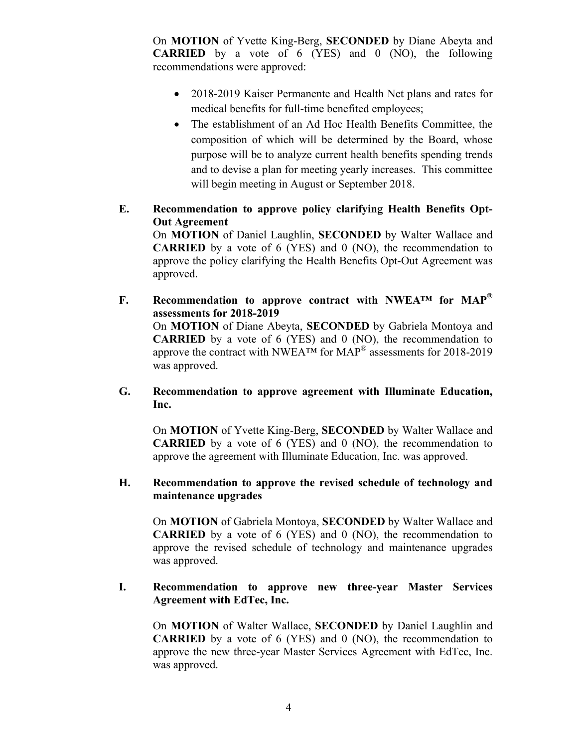On **MOTION** of Yvette King-Berg, **SECONDED** by Diane Abeyta and **CARRIED** by a vote of 6 (YES) and 0 (NO), the following recommendations were approved:

- 2018-2019 Kaiser Permanente and Health Net plans and rates for medical benefits for full-time benefited employees;
- The establishment of an Ad Hoc Health Benefits Committee, the composition of which will be determined by the Board, whose purpose will be to analyze current health benefits spending trends and to devise a plan for meeting yearly increases. This committee will begin meeting in August or September 2018.
- **E. Recommendation to approve policy clarifying Health Benefits Opt-Out Agreement**

On **MOTION** of Daniel Laughlin, **SECONDED** by Walter Wallace and **CARRIED** by a vote of 6 (YES) and 0 (NO), the recommendation to approve the policy clarifying the Health Benefits Opt-Out Agreement was approved.

- **F. Recommendation to approve contract with NWEA™ for MAP® assessments for 2018-2019** On **MOTION** of Diane Abeyta, **SECONDED** by Gabriela Montoya and **CARRIED** by a vote of 6 (YES) and 0 (NO), the recommendation to approve the contract with NWEA<sup>TM</sup> for  $MAP^{\circledR}$  assessments for 2018-2019 was approved.
- **G. Recommendation to approve agreement with Illuminate Education, Inc.**

On **MOTION** of Yvette King-Berg, **SECONDED** by Walter Wallace and **CARRIED** by a vote of 6 (YES) and 0 (NO), the recommendation to approve the agreement with Illuminate Education, Inc. was approved.

### **H. Recommendation to approve the revised schedule of technology and maintenance upgrades**

On **MOTION** of Gabriela Montoya, **SECONDED** by Walter Wallace and **CARRIED** by a vote of 6 (YES) and 0 (NO), the recommendation to approve the revised schedule of technology and maintenance upgrades was approved.

### **I. Recommendation to approve new three-year Master Services Agreement with EdTec, Inc.**

On **MOTION** of Walter Wallace, **SECONDED** by Daniel Laughlin and **CARRIED** by a vote of 6 (YES) and 0 (NO), the recommendation to approve the new three-year Master Services Agreement with EdTec, Inc. was approved.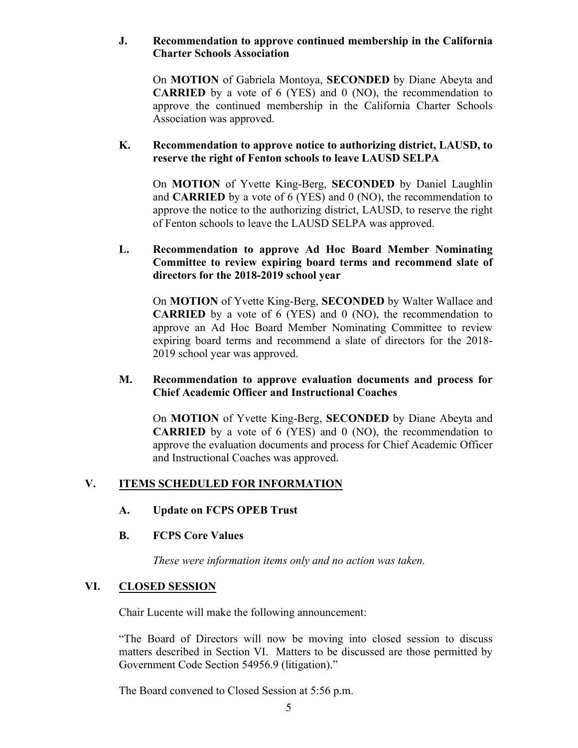### **J. Recommendation to approve continued membership in the California Charter Schools Association**

On **MOTION** of Gabriela Montoya, **SECONDED** by Diane Abeyta and **CARRIED** by a vote of 6 (YES) and 0 (NO), the recommendation to approve the continued membership in the California Charter Schools Association was approved.

### **K. Recommendation to approve notice to authorizing district, LAUSD, to reserve the right of Fenton schools to leave LAUSD SELPA**

On **MOTION** of Yvette King-Berg, **SECONDED** by Daniel Laughlin and **CARRIED** by a vote of 6 (YES) and 0 (NO), the recommendation to approve the notice to the authorizing district, LAUSD, to reserve the right of Fenton schools to leave the LAUSD SELPA was approved.

### **L. Recommendation to approve Ad Hoc Board Member Nominating Committee to review expiring board terms and recommend slate of directors for the 2018-2019 school year**

On **MOTION** of Yvette King-Berg, **SECONDED** by Walter Wallace and **CARRIED** by a vote of 6 (YES) and 0 (NO), the recommendation to approve an Ad Hoc Board Member Nominating Committee to review expiring board terms and recommend a slate of directors for the 2018- 2019 school year was approved.

### **M. Recommendation to approve evaluation documents and process for Chief Academic Officer and Instructional Coaches**

On **MOTION** of Yvette King-Berg, **SECONDED** by Diane Abeyta and **CARRIED** by a vote of 6 (YES) and 0 (NO), the recommendation to approve the evaluation documents and process for Chief Academic Officer and Instructional Coaches was approved.

## **V. ITEMS SCHEDULED FOR INFORMATION**

## **A. Update on FCPS OPEB Trust**

#### **B. FCPS Core Values**

*These were information items only and no action was taken.*

## **VI. CLOSED SESSION**

Chair Lucente will make the following announcement:

"The Board of Directors will now be moving into closed session to discuss matters described in Section VI. Matters to be discussed are those permitted by Government Code Section 54956.9 (litigation)."

The Board convened to Closed Session at 5:56 p.m.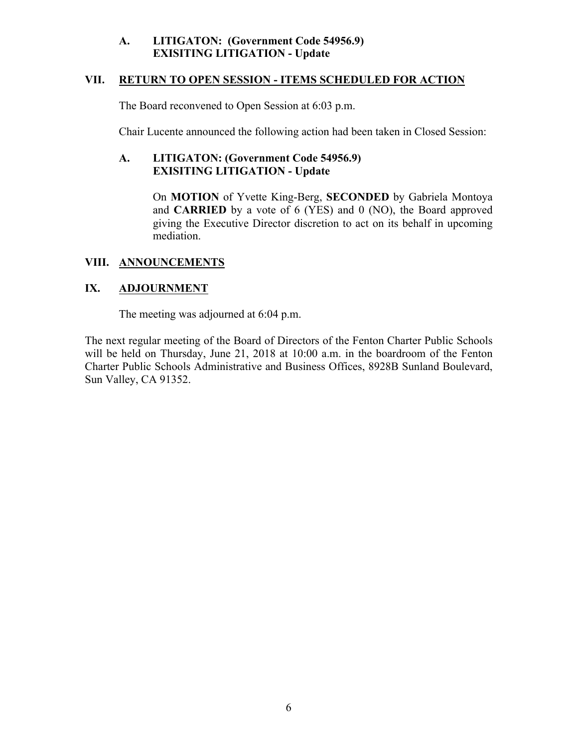### **A. LITIGATON: (Government Code 54956.9) EXISITING LITIGATION - Update**

### **VII. RETURN TO OPEN SESSION - ITEMS SCHEDULED FOR ACTION**

The Board reconvened to Open Session at 6:03 p.m.

Chair Lucente announced the following action had been taken in Closed Session:

## **A. LITIGATON: (Government Code 54956.9) EXISITING LITIGATION - Update**

On **MOTION** of Yvette King-Berg, **SECONDED** by Gabriela Montoya and **CARRIED** by a vote of 6 (YES) and 0 (NO), the Board approved giving the Executive Director discretion to act on its behalf in upcoming mediation.

## **VIII. ANNOUNCEMENTS**

# **IX. ADJOURNMENT**

The meeting was adjourned at 6:04 p.m.

The next regular meeting of the Board of Directors of the Fenton Charter Public Schools will be held on Thursday, June 21, 2018 at 10:00 a.m. in the boardroom of the Fenton Charter Public Schools Administrative and Business Offices, 8928B Sunland Boulevard, Sun Valley, CA 91352.